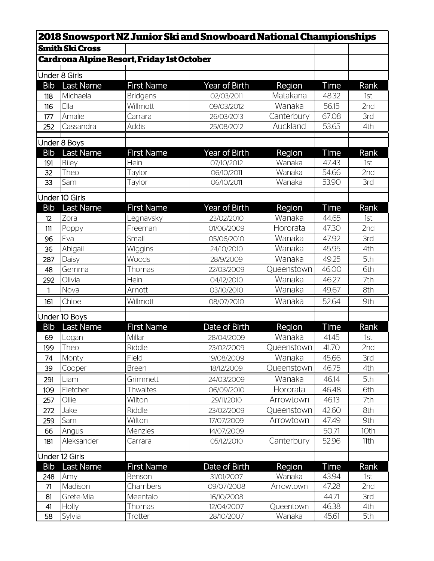|            |                        |                                                   | <b>2018 Snowsport NZ Junior Ski and Snowboard National Championships</b> |            |              |      |
|------------|------------------------|---------------------------------------------------|--------------------------------------------------------------------------|------------|--------------|------|
|            | <b>Smith Ski Cross</b> |                                                   |                                                                          |            |              |      |
|            |                        | <b>Cardrona Alpine Resort, Friday 1st October</b> |                                                                          |            |              |      |
|            | <b>Under 8 Girls</b>   |                                                   |                                                                          |            |              |      |
| <b>Bib</b> | Last Name              | <b>First Name</b>                                 | Year of Birth                                                            | Region     | Time         | Rank |
| 118        | Michaela               | <b>Bridgens</b>                                   | 02/03/2011                                                               | Matakana   | 48.32        | 1st  |
| 116        | Ella                   | Willmott                                          | 09/03/2012                                                               | Wanaka     | 56.15        | 2nd  |
| 177        | Amalie                 | Carrara                                           | 26/03/2013                                                               | Canterbury | 67.08        | 3rd  |
| 252        | Cassandra              | <b>Addis</b>                                      | 25/08/2012                                                               | Auckland   | 53.65        | 4th  |
|            |                        |                                                   |                                                                          |            |              |      |
|            | Under 8 Boys           |                                                   |                                                                          |            |              |      |
| <b>Bib</b> | Last Name              | <b>First Name</b>                                 | Year of Birth                                                            | Region     | Time         | Rank |
| 191        | Riley                  | Hein                                              | 07/10/2012                                                               | Wanaka     | 47.43        | 1st  |
| 32         | Theo                   | Taylor                                            | 06/10/2011                                                               | Wanaka     | 54.66        | 2nd  |
| 33         | Sam                    | Taylor                                            | 06/10/2011                                                               | Wanaka     | 53.90        | 3rd  |
|            | Under 10 Girls         |                                                   |                                                                          |            |              |      |
| <b>Bib</b> | Last Name              | <b>First Name</b>                                 | Year of Birth                                                            | Region     | Time         | Rank |
| 12         | Zora                   | Legnavsky                                         | 23/02/2010                                                               | Wanaka     | 44.65        | 1st  |
| 111        | Poppy                  | Freeman                                           | 01/06/2009                                                               | Hororata   | 47.30        | 2nd  |
| 96         | Eva                    | Small                                             | 05/06/2010                                                               | Wanaka     | 47.92        | 3rd  |
| 36         | Abigail                | Wiggins                                           | 24/10/2010                                                               | Wanaka     | 45.95        | 4th  |
| 287        | Daisy                  | Woods                                             | 28/9/2009                                                                | Wanaka     | 49.25        | 5th  |
| 48         | Gemma                  | Thomas                                            | 22/03/2009                                                               | Queenstown | 46.00        | 6th  |
| 292        | Olivia                 | Hein                                              | 04/12/2010                                                               | Wanaka     | 46.27        | 7th  |
| 1          | Nova                   | Arnott                                            | 03/10/2010                                                               | Wanaka     | 49.67        | 8th  |
| 161        | Chloe                  | Willmott                                          | 08/07/2010                                                               | Wanaka     | 52.64        | 9th  |
|            |                        |                                                   |                                                                          |            |              |      |
|            | Under 10 Boys          |                                                   |                                                                          |            |              |      |
| <b>Bib</b> | <b>Last Name</b>       | <b>First Name</b>                                 | Date of Birth                                                            | Region     | <b>Time</b>  | Rank |
| 69         | Logan                  | Millar                                            | 28/04/2009                                                               | Wanaka     | 41.45        | 1st  |
| 199        | Theo                   | Riddle                                            | 23/02/2009                                                               | Queenstown | <b>41.70</b> | 2nd  |
| 74         | Monty                  | Field                                             | 19/08/2009                                                               | Wanaka     | 45.66        | 3rd  |
| 39         | Cooper                 | <b>Breen</b>                                      | 18/12/2009                                                               | Queenstown | 46.75        | 4th  |
| 291        | Liam                   | Grimmett                                          | 24/03/2009                                                               | Wanaka     | 46.14        | 5th  |
| 109        | Fletcher               | <b>Thwaites</b>                                   | 06/09/2010                                                               | Hororata   | 46.48        | 6th  |
| 257        | Ollie                  | Wilton                                            | 29/11/2010                                                               | Arrowtown  | 46.13        | 7th  |
| 272        | Jake                   | Riddle                                            | 23/02/2009                                                               | Queenstown | 42.60        | 8th  |
| 259        | Sam                    | Wilton                                            | 17/07/2009                                                               | Arrowtown  | 47.49        | 9th  |
| 66         | Angus                  | Menzies                                           | 14/07/2009                                                               |            | 50.71        | 10th |
| 181        | Aleksander             | Carrara                                           | 05/12/2010                                                               | Canterbury | 52.96        | 11th |
|            | Under 12 Girls         |                                                   |                                                                          |            |              |      |
| <b>Bib</b> | Last Name              | <b>First Name</b>                                 | Date of Birth                                                            | Region     | Time         | Rank |
| 248        | Amy                    | Benson                                            | 31/01/2007                                                               | Wanaka     | 43.94        | 1st  |
| 71         | Madison                | Chambers                                          | 09/07/2008                                                               | Arrowtown  | 47.28        | 2nd  |
| 81         | Grete-Mia              | Meentalo                                          | 16/10/2008                                                               |            | 44.71        | 3rd  |
| 41         | Holly                  | Thomas                                            | 12/04/2007                                                               | Queentown  | 46.38        | 4th  |
| 58         | Sylvia                 | Trotter                                           | 28/10/2007                                                               | Wanaka     | 45.61        | 5th  |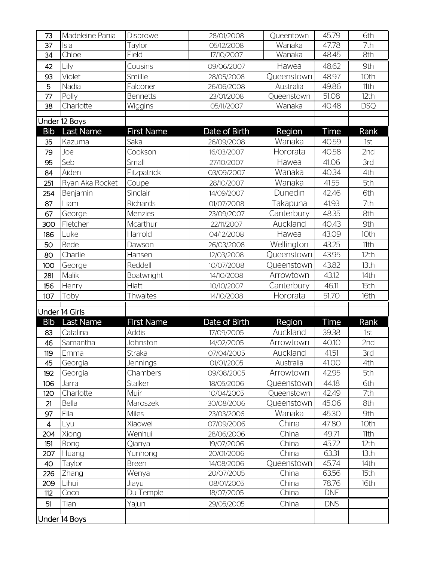| 73             | Madeleine Pania | Disbrowe              | 28/01/2008               | Queentown           | 45.79          | 6th          |
|----------------|-----------------|-----------------------|--------------------------|---------------------|----------------|--------------|
| 37             | Isla            | Taylor                | 05/12/2008               | Wanaka              | 47.78          | 7th          |
| 34             | Chloe           | Field                 | 17/10/2007               | Wanaka              | 48.45          | 8th          |
| 42             | Lily            | Cousins               | 09/06/2007               | Hawea               | 48.62          | 9th          |
| 93             | Violet          | Smillie               | 28/05/2008               | Queenstown          | 48.97          | 10th         |
| 5              | Nadia           | Falconer              | 26/06/2008               | Australia           | 49.86          | 11th         |
| 77             | Polly           | <b>Bennetts</b>       | 23/01/2008               | Queenstown          | 51.08          | 12th         |
| 38             | Charlotte       | Wiggins               | 05/11/2007               | Wanaka              | 40.48          | <b>DSQ</b>   |
|                | Under 12 Boys   |                       |                          |                     |                |              |
| <b>Bib</b>     | Last Name       | <b>First Name</b>     | Date of Birth            | Region              | Time           | Rank         |
| 35             | Kazuma          | Saka                  | 26/09/2008               | Wanaka              | 40.59          | 1st          |
| 79             | Joe             | Cookson               | 16/03/2007               | Hororata            | 40.58          | 2nd          |
| 95             | Seb             | Small                 | 27/10/2007               | Hawea               | 41.06          | 3rd          |
| 84             | Aiden           | Fitzpatrick           | 03/09/2007               | Wanaka              | 40.34          | 4th          |
| 251            | Ryan Aka Rocket | Coupe                 | 28/10/2007               | Wanaka              | 41.55          | 5th          |
| 254            | Benjamin        | Sinclair              | 14/09/2007               | Dunedin             | 42.46          | 6th          |
| 87             | Liam            | Richards              | 01/07/2008               | Takapuna            | 41.93          | 7th          |
| 67             | George          | Menzies               | 23/09/2007               | Canterbury          | 48.35          | 8th          |
| 300            | Fletcher        | Mcarthur              | 22/11/2007               | Auckland            | 40.43          | 9th          |
| 186            | Luke            | Harrold               | 04/12/2008               | Hawea               | 43.09          | 10th         |
| 50             | <b>Bede</b>     | Dawson                | 26/03/2008               | Wellington          | 43.25          | 11th         |
| 80             | Charlie         | Hansen                | 12/03/2008               | Queenstown          | 43.95          | 12th         |
| 100            | George          | Reddell               | 10/07/2008               | Queenstown          | 43.82          | 13th         |
| 281            | Malik           | Boatwright            | 14/10/2008               | Arrowtown           | 43.12          | 14th         |
| 156            | Henry           | Hiatt                 | 10/10/2007               | Canterbury          | 46.11          | 15th         |
| 107            | Toby            | <b>Thwaites</b>       | 14/10/2008               | Hororata            | 51.70          | 16th         |
|                | Under 14 Girls  |                       |                          |                     |                |              |
| <b>Bib</b>     | Last Name       | <b>First Name</b>     | Date of Birth            | Region              | Time           | Rank         |
| 83             | Catalina        | <b>Addis</b>          | 17/09/2005               | Auckland            | 39.38          | 1st          |
| 46             | Samantha        | Johnston              | 14/02/2005               | Arrowtown           | 40.10          | 2nd          |
| 119            | Emma            | Straka                | 07/04/2005               | Auckland            | 41.51          | 3rd          |
| 45             | Georgia         | Jennings              | 01/01/2005               | Australia           | 41.00          | 4th          |
| 192            | Georgia         | Chambers              | 09/08/2005               | Arrowtown           | 42.95          | 5th          |
| 106            | Jarra           | <b>Stalker</b>        | 18/05/2006               | Queenstown          | 44.18          | 6th          |
| 120            | Charlotte       | Muir                  | 10/04/2005               | Queenstown          | 42.49          | 7th          |
| 21             | Bella           | Maroszek              | 30/08/2006               | Queenstown          | 45.06          | 8th          |
| 97             | Ella            | <b>Miles</b>          | 23/03/2006               | Wanaka              | 45.30          | 9th          |
| $\overline{4}$ | Lyu             | Xiaowei               | 07/09/2006               | China               | 47.80          | 10th         |
| 204            | Xiong           | Wenhui                | 28/06/2006               | China               | 49.71          | 11th         |
| 151            | Rong            | Qianya                | 19/07/2006               | China               | 45.72          | 12th         |
| 207            | Huang           | Yunhong               | 20/01/2006               | China               | 63.31          | 13th         |
| 40             | Taylor          | <b>Breen</b><br>Wenya | 14/08/2006<br>20/07/2005 | Queenstown<br>China | 45.74<br>63.56 | 14th<br>15th |
| 226<br>209     | Zhang<br>Lihui  | Jiayu                 | 08/01/2005               | China               | 78.76          | 16th         |
| 112            | Coco            | Du Temple             | 18/07/2005               | China               | <b>DNF</b>     |              |
| 51             | Tian            | Yajun                 | 29/05/2005               | China               | <b>DNS</b>     |              |
|                |                 |                       |                          |                     |                |              |
|                | Under 14 Boys   |                       |                          |                     |                |              |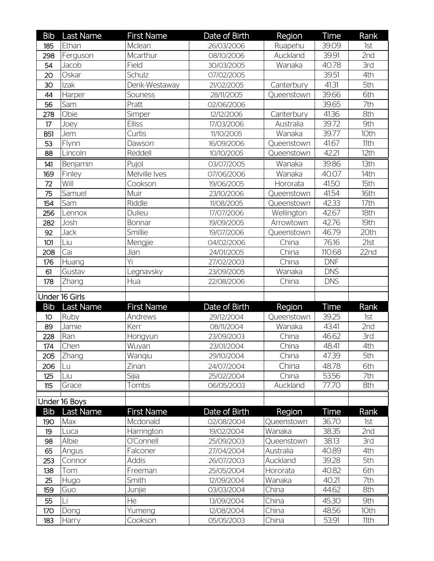| <b>Bib</b>        | <b>Last Name</b> | <b>First Name</b> | Date of Birth            | Region         | <b>Time</b>    | Rank             |
|-------------------|------------------|-------------------|--------------------------|----------------|----------------|------------------|
| 185               | Ethan            | Mclean            | 26/03/2006               | Ruapehu        | 39.09          | 1st              |
| 298               | Ferguson         | Mcarthur          | 08/10/2006               | Auckland       | 39.91          | 2nd              |
| 54                | Jacob            | Field             | 30/03/2005               | Wanaka         | 40.78          | 3rd              |
| 20                | Oskar            | Schulz            | 07/02/2005               |                | 39.51          | 4th              |
| 30                | Izak             | Derik-Westaway    | 21/02/2005               | Canterbury     | 41.31          | 5th              |
| 44                | Harper           | Souness           | 28/11/2005               | Queenstown     | 39.66          | 6th              |
| 56                | Sam              | Pratt             | 02/06/2006               |                | 39.65          | 7th              |
| 278               | Obie             | Simper            | 12/12/2006               | Canterbury     | 41.36          | 8th              |
| 17                | Joey             | <b>Elliss</b>     | 17/03/2006               | Australia      | 39.72          | 9th              |
| <b>B51</b>        | Jem              | Curtis            | 11/10/2005               | Wanaka         | 39.77          | 10th             |
| 53                | Flynn            | Dawson            | 16/09/2006               | Queenstown     | 41.67          | 11th             |
| 88                | Lincoln          | Reddell           | 10/10/2005               | Queenstown     | 42.21          | 12th             |
| 141               | Benjamin         | Pujol             | 03/07/2005               | Wanaka         | 39.86          | 13th             |
| 169               | Finley           | Melville Ives     | 07/06/2006               | Wanaka         | 40.07          | 14th             |
| 72                | Will             | Cookson           | 19/06/2005               | Hororata       | 41.50          | 15th             |
| 75                | Samuel           | Muir              | 23/10/2006               | Queenstown     | 41.54          | 16th             |
| 154               | Sam              | Riddle            | 11/08/2005               | Queenstown     | 42.33          | 17th             |
| 256               | Lennox           | Dulieu            | 17/07/2006               | Wellington     | 42.67          | 18th             |
| 282               | Josh             | Bonnar            | 19/09/2005               | Arrowtown      | 42.76          | 19th             |
| 92                | Jack             | Smillie           | 19/07/2006               | Queenstown     | 46.79          | 20th             |
| 101               | Liu              | Mengjie           | 04/02/2006               | China          | 76.16          | 21st             |
| 208               | Cai              | Jian              | 24/01/2005               | China          | 110.68         | 22 <sub>nd</sub> |
| 176               | Huang            | Yi                | 27/02/2003               | China          | <b>DNF</b>     |                  |
| 61                | Gustav           | Legnavsky         | 23/09/2005               | Wanaka         | <b>DNS</b>     |                  |
|                   |                  |                   |                          |                |                |                  |
| 178               | Zhang            | Hua               | 22/08/2006               | China          | <b>DNS</b>     |                  |
|                   |                  |                   |                          |                |                |                  |
|                   | Under 16 Girls   |                   |                          |                |                |                  |
| <b>Bib</b>        | <b>Last Name</b> | <b>First Name</b> | Date of Birth            | Region         | Time           | Rank             |
| 10                | Ruby             | Andrews           | 29/12/2004               | Queenstown     | 39.25          | 1st              |
| 89                | Jamie            | Kerr              | 08/11/2004               | Wanaka         | 43.41          | 2nd              |
| 228               | Ran              | Hongyun           | 23/09/2003               | China          | 46.62          | 3rd              |
| 174               | Chen             | Wuyan             | 23/01/2004               | China          | 48.41          | 4th              |
| 205               | Zhang            | Wanqiu            | 29/10/2004               | China          | 47.39          | 5th              |
| 206               | Lu               | Zinan             | 24/07/2004               | China          | 48.78          | 6th              |
| 125               | Liu              | Sijia             | 25/02/2004<br>06/05/2003 | China          | 53.56          | 7th              |
| 115               | Grace            | Tombs             |                          | Auckland       | 77.70          | 8th              |
|                   | Under 16 Boys    |                   |                          |                |                |                  |
| <b>Bib</b>        | <b>Last Name</b> | <b>First Name</b> | Date of Birth            | Region         | Time           | Rank             |
| 190               | Max              | Mcdonald          | 02/08/2004               | Queenstown     | 36.70          | 1st              |
| 19                | Luca             | Harrington        | 19/02/2004               | Wanaka         | 38.35          | 2nd              |
| 98                | Albie            | O'Connell         | 25/09/2003               | Queenstown     | 38.13          | 3rd              |
| 65                | Angus            | Falconer          | 27/04/2004               | Australia      | 40.89          | 4th              |
| 253               | Connor           | <b>Addis</b>      | 26/07/2003               | Auckland       | 39.28          | 5th              |
| 138               | Tom              | Freeman           | 25/05/2004               | Hororata       | 40.82          | 6th              |
| 25                | Hugo             | Smith             | 12/09/2004               | Wanaka         | 40.21          | 7th              |
| 159               | Guo              | Junjie            | 03/03/2004               | China          | 44.62          | 8th              |
| 55                | Li               | He                | 13/09/2004               | China          | 45.30          | 9th              |
| <b>170</b><br>183 | Dong<br>Harry    | Yumeng<br>Cookson | 12/08/2004<br>05/05/2003 | China<br>China | 48.56<br>53.91 | 10th<br>11th     |